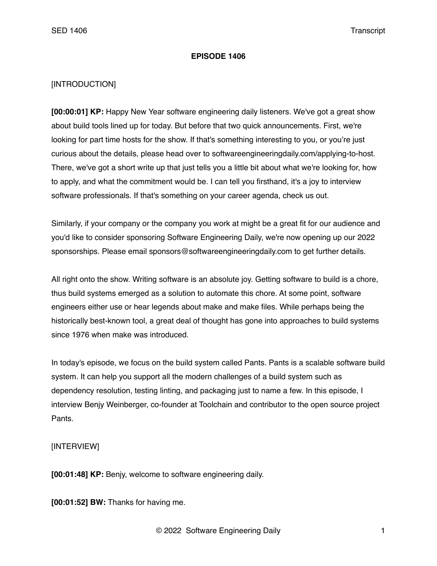## **EPISODE 1406**

## [INTRODUCTION]

**[00:00:01] KP:** Happy New Year software engineering daily listeners. We've got a great show about build tools lined up for today. But before that two quick announcements. First, we're looking for part time hosts for the show. If that's something interesting to you, or you're just curious about the details, please head over to softwareengineeringdaily.com/applying-to-host. There, we've got a short write up that just tells you a little bit about what we're looking for, how to apply, and what the commitment would be. I can tell you firsthand, it's a joy to interview software professionals. If that's something on your career agenda, check us out.

Similarly, if your company or the company you work at might be a great fit for our audience and you'd like to consider sponsoring Software Engineering Daily, we're now opening up our 2022 sponsorships. Please email sponsors@softwareengineeringdaily.com to get further details.

All right onto the show. Writing software is an absolute joy. Getting software to build is a chore, thus build systems emerged as a solution to automate this chore. At some point, software engineers either use or hear legends about make and make files. While perhaps being the historically best-known tool, a great deal of thought has gone into approaches to build systems since 1976 when make was introduced.

In today's episode, we focus on the build system called Pants. Pants is a scalable software build system. It can help you support all the modern challenges of a build system such as dependency resolution, testing linting, and packaging just to name a few. In this episode, I interview Benjy Weinberger, co-founder at Toolchain and contributor to the open source project Pants.

## [INTERVIEW]

**[00:01:48] KP:** Benjy, welcome to software engineering daily.

**[00:01:52] BW:** Thanks for having me.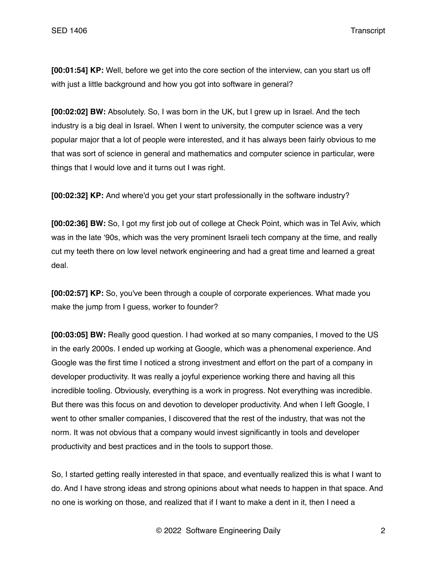**[00:01:54] KP:** Well, before we get into the core section of the interview, can you start us off with just a little background and how you got into software in general?

**[00:02:02] BW:** Absolutely. So, I was born in the UK, but I grew up in Israel. And the tech industry is a big deal in Israel. When I went to university, the computer science was a very popular major that a lot of people were interested, and it has always been fairly obvious to me that was sort of science in general and mathematics and computer science in particular, were things that I would love and it turns out I was right.

**[00:02:32] KP:** And where'd you get your start professionally in the software industry?

**[00:02:36] BW:** So, I got my first job out of college at Check Point, which was in Tel Aviv, which was in the late '90s, which was the very prominent Israeli tech company at the time, and really cut my teeth there on low level network engineering and had a great time and learned a great deal.

**[00:02:57] KP:** So, you've been through a couple of corporate experiences. What made you make the jump from I guess, worker to founder?

**[00:03:05] BW:** Really good question. I had worked at so many companies, I moved to the US in the early 2000s. I ended up working at Google, which was a phenomenal experience. And Google was the first time I noticed a strong investment and effort on the part of a company in developer productivity. It was really a joyful experience working there and having all this incredible tooling. Obviously, everything is a work in progress. Not everything was incredible. But there was this focus on and devotion to developer productivity. And when I left Google, I went to other smaller companies, I discovered that the rest of the industry, that was not the norm. It was not obvious that a company would invest significantly in tools and developer productivity and best practices and in the tools to support those.

So, I started getting really interested in that space, and eventually realized this is what I want to do. And I have strong ideas and strong opinions about what needs to happen in that space. And no one is working on those, and realized that if I want to make a dent in it, then I need a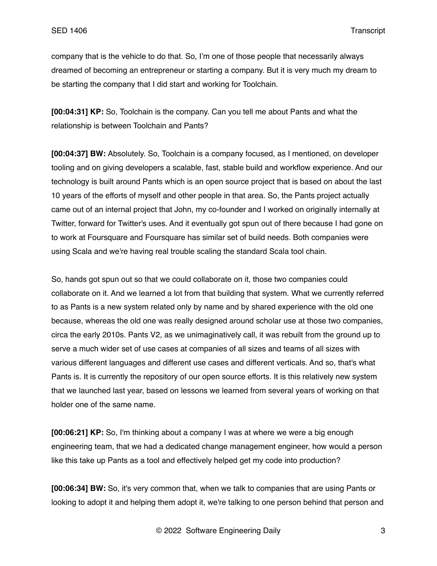company that is the vehicle to do that. So, I'm one of those people that necessarily always dreamed of becoming an entrepreneur or starting a company. But it is very much my dream to be starting the company that I did start and working for Toolchain.

**[00:04:31] KP:** So, Toolchain is the company. Can you tell me about Pants and what the relationship is between Toolchain and Pants?

**[00:04:37] BW:** Absolutely. So, Toolchain is a company focused, as I mentioned, on developer tooling and on giving developers a scalable, fast, stable build and workflow experience. And our technology is built around Pants which is an open source project that is based on about the last 10 years of the efforts of myself and other people in that area. So, the Pants project actually came out of an internal project that John, my co-founder and I worked on originally internally at Twitter, forward for Twitter's uses. And it eventually got spun out of there because I had gone on to work at Foursquare and Foursquare has similar set of build needs. Both companies were using Scala and we're having real trouble scaling the standard Scala tool chain.

So, hands got spun out so that we could collaborate on it, those two companies could collaborate on it. And we learned a lot from that building that system. What we currently referred to as Pants is a new system related only by name and by shared experience with the old one because, whereas the old one was really designed around scholar use at those two companies, circa the early 2010s. Pants V2, as we unimaginatively call, it was rebuilt from the ground up to serve a much wider set of use cases at companies of all sizes and teams of all sizes with various different languages and different use cases and different verticals. And so, that's what Pants is. It is currently the repository of our open source efforts. It is this relatively new system that we launched last year, based on lessons we learned from several years of working on that holder one of the same name.

**[00:06:21] KP:** So, I'm thinking about a company I was at where we were a big enough engineering team, that we had a dedicated change management engineer, how would a person like this take up Pants as a tool and effectively helped get my code into production?

**[00:06:34] BW:** So, it's very common that, when we talk to companies that are using Pants or looking to adopt it and helping them adopt it, we're talking to one person behind that person and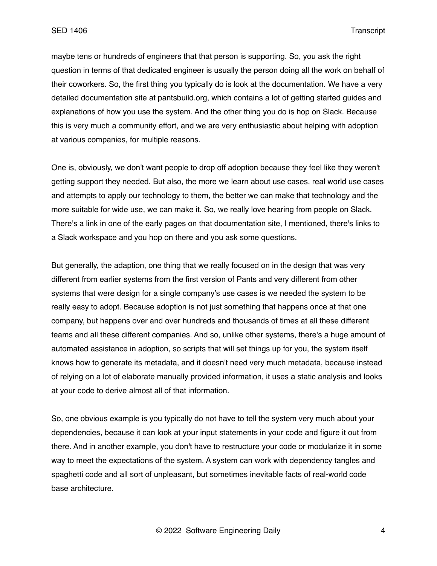maybe tens or hundreds of engineers that that person is supporting. So, you ask the right question in terms of that dedicated engineer is usually the person doing all the work on behalf of their coworkers. So, the first thing you typically do is look at the documentation. We have a very detailed documentation site at pantsbuild.org, which contains a lot of getting started guides and explanations of how you use the system. And the other thing you do is hop on Slack. Because this is very much a community effort, and we are very enthusiastic about helping with adoption at various companies, for multiple reasons.

One is, obviously, we don't want people to drop off adoption because they feel like they weren't getting support they needed. But also, the more we learn about use cases, real world use cases and attempts to apply our technology to them, the better we can make that technology and the more suitable for wide use, we can make it. So, we really love hearing from people on Slack. There's a link in one of the early pages on that documentation site, I mentioned, there's links to a Slack workspace and you hop on there and you ask some questions.

But generally, the adaption, one thing that we really focused on in the design that was very different from earlier systems from the first version of Pants and very different from other systems that were design for a single company's use cases is we needed the system to be really easy to adopt. Because adoption is not just something that happens once at that one company, but happens over and over hundreds and thousands of times at all these different teams and all these different companies. And so, unlike other systems, there's a huge amount of automated assistance in adoption, so scripts that will set things up for you, the system itself knows how to generate its metadata, and it doesn't need very much metadata, because instead of relying on a lot of elaborate manually provided information, it uses a static analysis and looks at your code to derive almost all of that information.

So, one obvious example is you typically do not have to tell the system very much about your dependencies, because it can look at your input statements in your code and figure it out from there. And in another example, you don't have to restructure your code or modularize it in some way to meet the expectations of the system. A system can work with dependency tangles and spaghetti code and all sort of unpleasant, but sometimes inevitable facts of real-world code base architecture.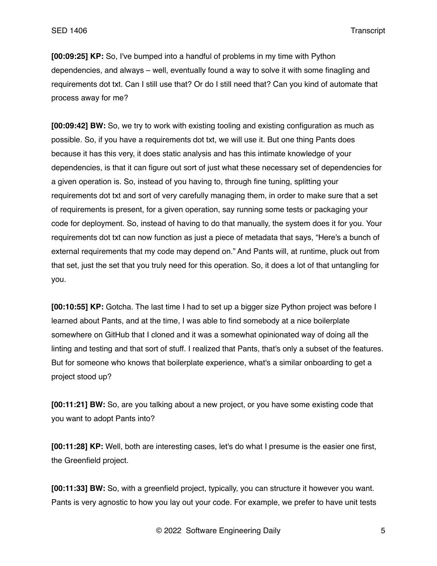**[00:09:25] KP:** So, I've bumped into a handful of problems in my time with Python dependencies, and always – well, eventually found a way to solve it with some finagling and requirements dot txt. Can I still use that? Or do I still need that? Can you kind of automate that process away for me?

**[00:09:42] BW:** So, we try to work with existing tooling and existing configuration as much as possible. So, if you have a requirements dot txt, we will use it. But one thing Pants does because it has this very, it does static analysis and has this intimate knowledge of your dependencies, is that it can figure out sort of just what these necessary set of dependencies for a given operation is. So, instead of you having to, through fine tuning, splitting your requirements dot txt and sort of very carefully managing them, in order to make sure that a set of requirements is present, for a given operation, say running some tests or packaging your code for deployment. So, instead of having to do that manually, the system does it for you. Your requirements dot txt can now function as just a piece of metadata that says, "Here's a bunch of external requirements that my code may depend on." And Pants will, at runtime, pluck out from that set, just the set that you truly need for this operation. So, it does a lot of that untangling for you.

**[00:10:55] KP:** Gotcha. The last time I had to set up a bigger size Python project was before I learned about Pants, and at the time, I was able to find somebody at a nice boilerplate somewhere on GitHub that I cloned and it was a somewhat opinionated way of doing all the linting and testing and that sort of stuff. I realized that Pants, that's only a subset of the features. But for someone who knows that boilerplate experience, what's a similar onboarding to get a project stood up?

**[00:11:21] BW:** So, are you talking about a new project, or you have some existing code that you want to adopt Pants into?

**[00:11:28] KP:** Well, both are interesting cases, let's do what I presume is the easier one first, the Greenfield project.

**[00:11:33] BW:** So, with a greenfield project, typically, you can structure it however you want. Pants is very agnostic to how you lay out your code. For example, we prefer to have unit tests

© 2022 Software Engineering Daily 5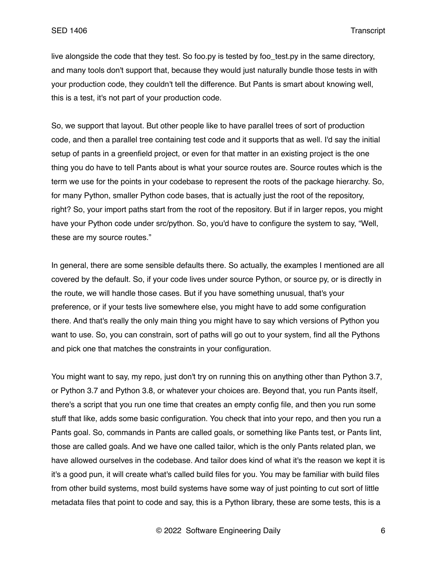live alongside the code that they test. So foo.py is tested by foo test.py in the same directory, and many tools don't support that, because they would just naturally bundle those tests in with your production code, they couldn't tell the difference. But Pants is smart about knowing well, this is a test, it's not part of your production code.

So, we support that layout. But other people like to have parallel trees of sort of production code, and then a parallel tree containing test code and it supports that as well. I'd say the initial setup of pants in a greenfield project, or even for that matter in an existing project is the one thing you do have to tell Pants about is what your source routes are. Source routes which is the term we use for the points in your codebase to represent the roots of the package hierarchy. So, for many Python, smaller Python code bases, that is actually just the root of the repository, right? So, your import paths start from the root of the repository. But if in larger repos, you might have your Python code under src/python. So, you'd have to configure the system to say, "Well, these are my source routes."

In general, there are some sensible defaults there. So actually, the examples I mentioned are all covered by the default. So, if your code lives under source Python, or source py, or is directly in the route, we will handle those cases. But if you have something unusual, that's your preference, or if your tests live somewhere else, you might have to add some configuration there. And that's really the only main thing you might have to say which versions of Python you want to use. So, you can constrain, sort of paths will go out to your system, find all the Pythons and pick one that matches the constraints in your configuration.

You might want to say, my repo, just don't try on running this on anything other than Python 3.7, or Python 3.7 and Python 3.8, or whatever your choices are. Beyond that, you run Pants itself, there's a script that you run one time that creates an empty config file, and then you run some stuff that like, adds some basic configuration. You check that into your repo, and then you run a Pants goal. So, commands in Pants are called goals, or something like Pants test, or Pants lint, those are called goals. And we have one called tailor, which is the only Pants related plan, we have allowed ourselves in the codebase. And tailor does kind of what it's the reason we kept it is it's a good pun, it will create what's called build files for you. You may be familiar with build files from other build systems, most build systems have some way of just pointing to cut sort of little metadata files that point to code and say, this is a Python library, these are some tests, this is a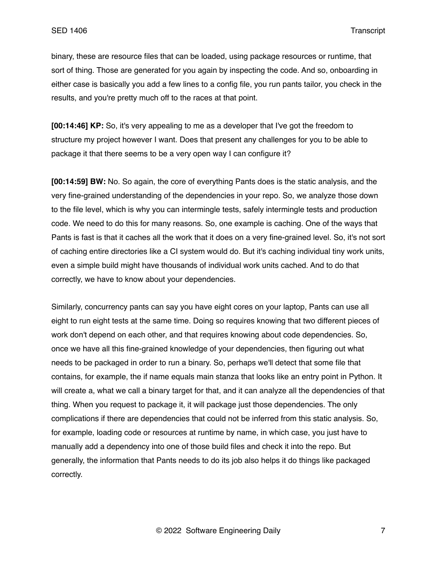binary, these are resource files that can be loaded, using package resources or runtime, that sort of thing. Those are generated for you again by inspecting the code. And so, onboarding in either case is basically you add a few lines to a config file, you run pants tailor, you check in the results, and you're pretty much off to the races at that point.

**[00:14:46] KP:** So, it's very appealing to me as a developer that I've got the freedom to structure my project however I want. Does that present any challenges for you to be able to package it that there seems to be a very open way I can configure it?

**[00:14:59] BW:** No. So again, the core of everything Pants does is the static analysis, and the very fine-grained understanding of the dependencies in your repo. So, we analyze those down to the file level, which is why you can intermingle tests, safely intermingle tests and production code. We need to do this for many reasons. So, one example is caching. One of the ways that Pants is fast is that it caches all the work that it does on a very fine-grained level. So, it's not sort of caching entire directories like a CI system would do. But it's caching individual tiny work units, even a simple build might have thousands of individual work units cached. And to do that correctly, we have to know about your dependencies.

Similarly, concurrency pants can say you have eight cores on your laptop, Pants can use all eight to run eight tests at the same time. Doing so requires knowing that two different pieces of work don't depend on each other, and that requires knowing about code dependencies. So, once we have all this fine-grained knowledge of your dependencies, then figuring out what needs to be packaged in order to run a binary. So, perhaps we'll detect that some file that contains, for example, the if name equals main stanza that looks like an entry point in Python. It will create a, what we call a binary target for that, and it can analyze all the dependencies of that thing. When you request to package it, it will package just those dependencies. The only complications if there are dependencies that could not be inferred from this static analysis. So, for example, loading code or resources at runtime by name, in which case, you just have to manually add a dependency into one of those build files and check it into the repo. But generally, the information that Pants needs to do its job also helps it do things like packaged correctly.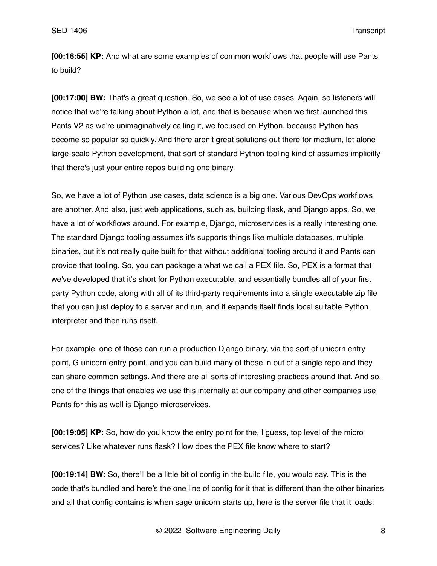**[00:16:55] KP:** And what are some examples of common workflows that people will use Pants to build?

**[00:17:00] BW:** That's a great question. So, we see a lot of use cases. Again, so listeners will notice that we're talking about Python a lot, and that is because when we first launched this Pants V2 as we're unimaginatively calling it, we focused on Python, because Python has become so popular so quickly. And there aren't great solutions out there for medium, let alone large-scale Python development, that sort of standard Python tooling kind of assumes implicitly that there's just your entire repos building one binary.

So, we have a lot of Python use cases, data science is a big one. Various DevOps workflows are another. And also, just web applications, such as, building flask, and Django apps. So, we have a lot of workflows around. For example, Django, microservices is a really interesting one. The standard Django tooling assumes it's supports things like multiple databases, multiple binaries, but it's not really quite built for that without additional tooling around it and Pants can provide that tooling. So, you can package a what we call a PEX file. So, PEX is a format that we've developed that it's short for Python executable, and essentially bundles all of your first party Python code, along with all of its third-party requirements into a single executable zip file that you can just deploy to a server and run, and it expands itself finds local suitable Python interpreter and then runs itself.

For example, one of those can run a production Django binary, via the sort of unicorn entry point, G unicorn entry point, and you can build many of those in out of a single repo and they can share common settings. And there are all sorts of interesting practices around that. And so, one of the things that enables we use this internally at our company and other companies use Pants for this as well is Django microservices.

**[00:19:05] KP:** So, how do you know the entry point for the, I guess, top level of the micro services? Like whatever runs flask? How does the PEX file know where to start?

**[00:19:14] BW:** So, there'll be a little bit of config in the build file, you would say. This is the code that's bundled and here's the one line of config for it that is different than the other binaries and all that config contains is when sage unicorn starts up, here is the server file that it loads.

© 2022 Software Engineering Daily 8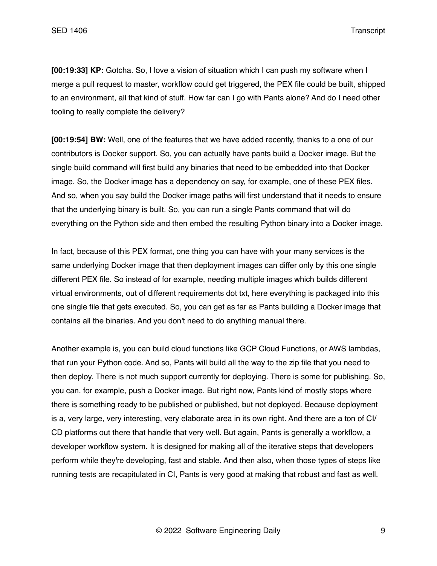**[00:19:33] KP:** Gotcha. So, I love a vision of situation which I can push my software when I merge a pull request to master, workflow could get triggered, the PEX file could be built, shipped to an environment, all that kind of stuff. How far can I go with Pants alone? And do I need other tooling to really complete the delivery?

**[00:19:54] BW:** Well, one of the features that we have added recently, thanks to a one of our contributors is Docker support. So, you can actually have pants build a Docker image. But the single build command will first build any binaries that need to be embedded into that Docker image. So, the Docker image has a dependency on say, for example, one of these PEX files. And so, when you say build the Docker image paths will first understand that it needs to ensure that the underlying binary is built. So, you can run a single Pants command that will do everything on the Python side and then embed the resulting Python binary into a Docker image.

In fact, because of this PEX format, one thing you can have with your many services is the same underlying Docker image that then deployment images can differ only by this one single different PEX file. So instead of for example, needing multiple images which builds different virtual environments, out of different requirements dot txt, here everything is packaged into this one single file that gets executed. So, you can get as far as Pants building a Docker image that contains all the binaries. And you don't need to do anything manual there.

Another example is, you can build cloud functions like GCP Cloud Functions, or AWS lambdas, that run your Python code. And so, Pants will build all the way to the zip file that you need to then deploy. There is not much support currently for deploying. There is some for publishing. So, you can, for example, push a Docker image. But right now, Pants kind of mostly stops where there is something ready to be published or published, but not deployed. Because deployment is a, very large, very interesting, very elaborate area in its own right. And there are a ton of CI/ CD platforms out there that handle that very well. But again, Pants is generally a workflow, a developer workflow system. It is designed for making all of the iterative steps that developers perform while they're developing, fast and stable. And then also, when those types of steps like running tests are recapitulated in CI, Pants is very good at making that robust and fast as well.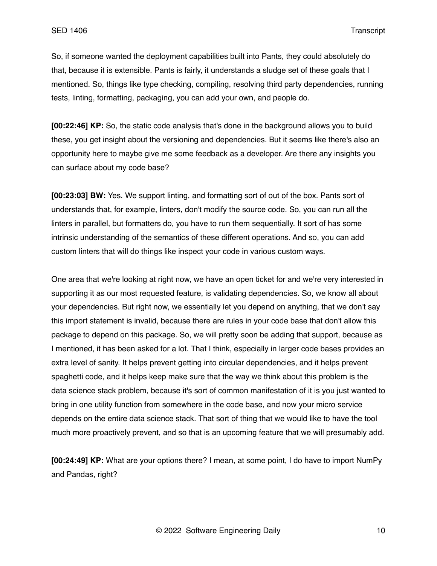So, if someone wanted the deployment capabilities built into Pants, they could absolutely do that, because it is extensible. Pants is fairly, it understands a sludge set of these goals that I mentioned. So, things like type checking, compiling, resolving third party dependencies, running tests, linting, formatting, packaging, you can add your own, and people do.

**[00:22:46] KP:** So, the static code analysis that's done in the background allows you to build these, you get insight about the versioning and dependencies. But it seems like there's also an opportunity here to maybe give me some feedback as a developer. Are there any insights you can surface about my code base?

**[00:23:03] BW:** Yes. We support linting, and formatting sort of out of the box. Pants sort of understands that, for example, linters, don't modify the source code. So, you can run all the linters in parallel, but formatters do, you have to run them sequentially. It sort of has some intrinsic understanding of the semantics of these different operations. And so, you can add custom linters that will do things like inspect your code in various custom ways.

One area that we're looking at right now, we have an open ticket for and we're very interested in supporting it as our most requested feature, is validating dependencies. So, we know all about your dependencies. But right now, we essentially let you depend on anything, that we don't say this import statement is invalid, because there are rules in your code base that don't allow this package to depend on this package. So, we will pretty soon be adding that support, because as I mentioned, it has been asked for a lot. That I think, especially in larger code bases provides an extra level of sanity. It helps prevent getting into circular dependencies, and it helps prevent spaghetti code, and it helps keep make sure that the way we think about this problem is the data science stack problem, because it's sort of common manifestation of it is you just wanted to bring in one utility function from somewhere in the code base, and now your micro service depends on the entire data science stack. That sort of thing that we would like to have the tool much more proactively prevent, and so that is an upcoming feature that we will presumably add.

**[00:24:49] KP:** What are your options there? I mean, at some point, I do have to import NumPy and Pandas, right?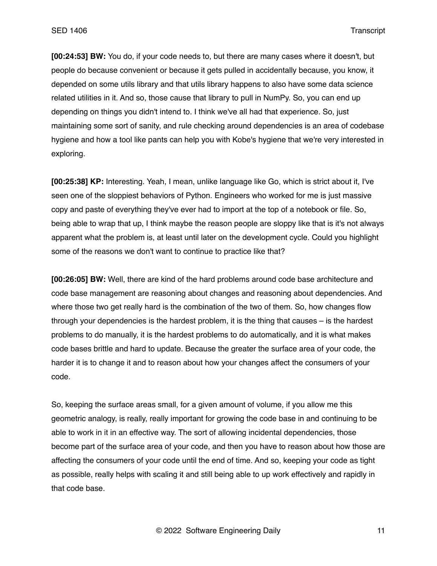**[00:24:53] BW:** You do, if your code needs to, but there are many cases where it doesn't, but people do because convenient or because it gets pulled in accidentally because, you know, it depended on some utils library and that utils library happens to also have some data science related utilities in it. And so, those cause that library to pull in NumPy. So, you can end up depending on things you didn't intend to. I think we've all had that experience. So, just maintaining some sort of sanity, and rule checking around dependencies is an area of codebase hygiene and how a tool like pants can help you with Kobe's hygiene that we're very interested in exploring.

**[00:25:38] KP:** Interesting. Yeah, I mean, unlike language like Go, which is strict about it, I've seen one of the sloppiest behaviors of Python. Engineers who worked for me is just massive copy and paste of everything they've ever had to import at the top of a notebook or file. So, being able to wrap that up, I think maybe the reason people are sloppy like that is it's not always apparent what the problem is, at least until later on the development cycle. Could you highlight some of the reasons we don't want to continue to practice like that?

**[00:26:05] BW:** Well, there are kind of the hard problems around code base architecture and code base management are reasoning about changes and reasoning about dependencies. And where those two get really hard is the combination of the two of them. So, how changes flow through your dependencies is the hardest problem, it is the thing that causes – is the hardest problems to do manually, it is the hardest problems to do automatically, and it is what makes code bases brittle and hard to update. Because the greater the surface area of your code, the harder it is to change it and to reason about how your changes affect the consumers of your code.

So, keeping the surface areas small, for a given amount of volume, if you allow me this geometric analogy, is really, really important for growing the code base in and continuing to be able to work in it in an effective way. The sort of allowing incidental dependencies, those become part of the surface area of your code, and then you have to reason about how those are affecting the consumers of your code until the end of time. And so, keeping your code as tight as possible, really helps with scaling it and still being able to up work effectively and rapidly in that code base.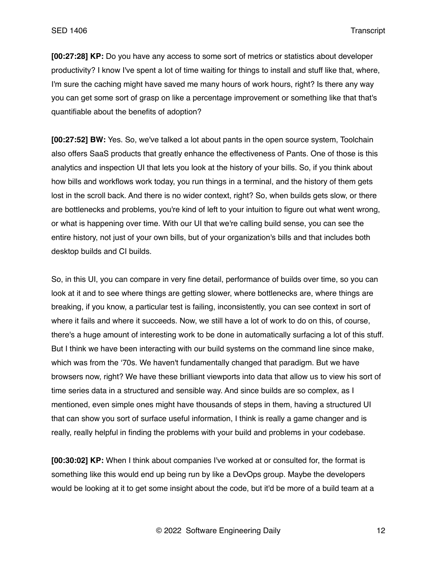**[00:27:28] KP:** Do you have any access to some sort of metrics or statistics about developer productivity? I know I've spent a lot of time waiting for things to install and stuff like that, where, I'm sure the caching might have saved me many hours of work hours, right? Is there any way you can get some sort of grasp on like a percentage improvement or something like that that's quantifiable about the benefits of adoption?

**[00:27:52] BW:** Yes. So, we've talked a lot about pants in the open source system, Toolchain also offers SaaS products that greatly enhance the effectiveness of Pants. One of those is this analytics and inspection UI that lets you look at the history of your bills. So, if you think about how bills and workflows work today, you run things in a terminal, and the history of them gets lost in the scroll back. And there is no wider context, right? So, when builds gets slow, or there are bottlenecks and problems, you're kind of left to your intuition to figure out what went wrong, or what is happening over time. With our UI that we're calling build sense, you can see the entire history, not just of your own bills, but of your organization's bills and that includes both desktop builds and CI builds.

So, in this UI, you can compare in very fine detail, performance of builds over time, so you can look at it and to see where things are getting slower, where bottlenecks are, where things are breaking, if you know, a particular test is failing, inconsistently, you can see context in sort of where it fails and where it succeeds. Now, we still have a lot of work to do on this, of course, there's a huge amount of interesting work to be done in automatically surfacing a lot of this stuff. But I think we have been interacting with our build systems on the command line since make, which was from the '70s. We haven't fundamentally changed that paradigm. But we have browsers now, right? We have these brilliant viewports into data that allow us to view his sort of time series data in a structured and sensible way. And since builds are so complex, as I mentioned, even simple ones might have thousands of steps in them, having a structured UI that can show you sort of surface useful information, I think is really a game changer and is really, really helpful in finding the problems with your build and problems in your codebase.

**[00:30:02] KP:** When I think about companies I've worked at or consulted for, the format is something like this would end up being run by like a DevOps group. Maybe the developers would be looking at it to get some insight about the code, but it'd be more of a build team at a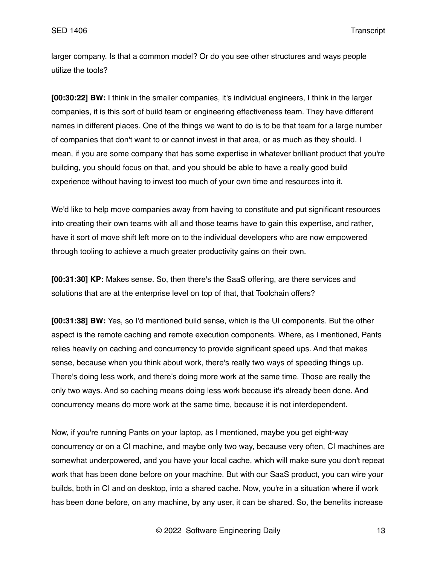larger company. Is that a common model? Or do you see other structures and ways people utilize the tools?

**[00:30:22] BW:** I think in the smaller companies, it's individual engineers, I think in the larger companies, it is this sort of build team or engineering effectiveness team. They have different names in different places. One of the things we want to do is to be that team for a large number of companies that don't want to or cannot invest in that area, or as much as they should. I mean, if you are some company that has some expertise in whatever brilliant product that you're building, you should focus on that, and you should be able to have a really good build experience without having to invest too much of your own time and resources into it.

We'd like to help move companies away from having to constitute and put significant resources into creating their own teams with all and those teams have to gain this expertise, and rather, have it sort of move shift left more on to the individual developers who are now empowered through tooling to achieve a much greater productivity gains on their own.

**[00:31:30] KP:** Makes sense. So, then there's the SaaS offering, are there services and solutions that are at the enterprise level on top of that, that Toolchain offers?

**[00:31:38] BW:** Yes, so I'd mentioned build sense, which is the UI components. But the other aspect is the remote caching and remote execution components. Where, as I mentioned, Pants relies heavily on caching and concurrency to provide significant speed ups. And that makes sense, because when you think about work, there's really two ways of speeding things up. There's doing less work, and there's doing more work at the same time. Those are really the only two ways. And so caching means doing less work because it's already been done. And concurrency means do more work at the same time, because it is not interdependent.

Now, if you're running Pants on your laptop, as I mentioned, maybe you get eight-way concurrency or on a CI machine, and maybe only two way, because very often, CI machines are somewhat underpowered, and you have your local cache, which will make sure you don't repeat work that has been done before on your machine. But with our SaaS product, you can wire your builds, both in CI and on desktop, into a shared cache. Now, you're in a situation where if work has been done before, on any machine, by any user, it can be shared. So, the benefits increase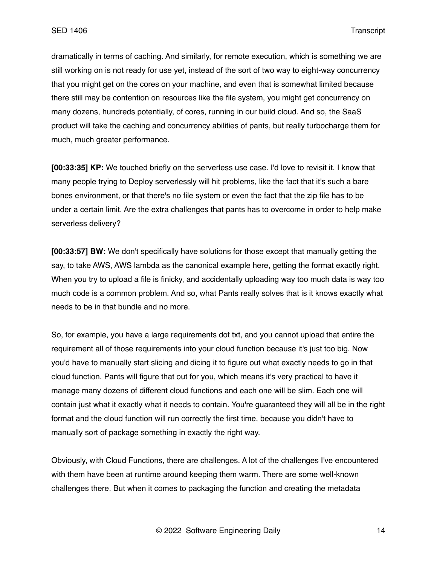dramatically in terms of caching. And similarly, for remote execution, which is something we are still working on is not ready for use yet, instead of the sort of two way to eight-way concurrency that you might get on the cores on your machine, and even that is somewhat limited because there still may be contention on resources like the file system, you might get concurrency on many dozens, hundreds potentially, of cores, running in our build cloud. And so, the SaaS product will take the caching and concurrency abilities of pants, but really turbocharge them for much, much greater performance.

**[00:33:35] KP:** We touched briefly on the serverless use case. I'd love to revisit it. I know that many people trying to Deploy serverlessly will hit problems, like the fact that it's such a bare bones environment, or that there's no file system or even the fact that the zip file has to be under a certain limit. Are the extra challenges that pants has to overcome in order to help make serverless delivery?

**[00:33:57] BW:** We don't specifically have solutions for those except that manually getting the say, to take AWS, AWS lambda as the canonical example here, getting the format exactly right. When you try to upload a file is finicky, and accidentally uploading way too much data is way too much code is a common problem. And so, what Pants really solves that is it knows exactly what needs to be in that bundle and no more.

So, for example, you have a large requirements dot txt, and you cannot upload that entire the requirement all of those requirements into your cloud function because it's just too big. Now you'd have to manually start slicing and dicing it to figure out what exactly needs to go in that cloud function. Pants will figure that out for you, which means it's very practical to have it manage many dozens of different cloud functions and each one will be slim. Each one will contain just what it exactly what it needs to contain. You're guaranteed they will all be in the right format and the cloud function will run correctly the first time, because you didn't have to manually sort of package something in exactly the right way.

Obviously, with Cloud Functions, there are challenges. A lot of the challenges I've encountered with them have been at runtime around keeping them warm. There are some well-known challenges there. But when it comes to packaging the function and creating the metadata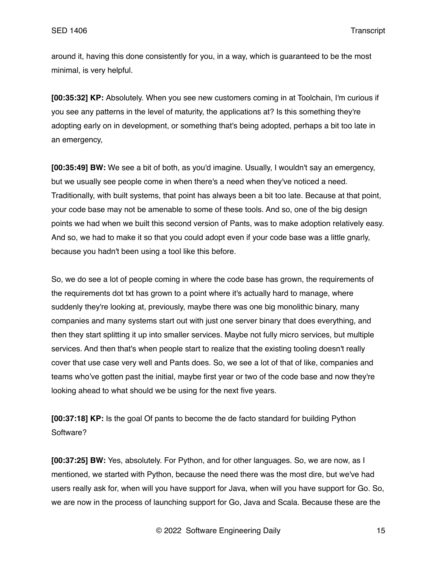around it, having this done consistently for you, in a way, which is guaranteed to be the most minimal, is very helpful.

**[00:35:32] KP:** Absolutely. When you see new customers coming in at Toolchain, I'm curious if you see any patterns in the level of maturity, the applications at? Is this something they're adopting early on in development, or something that's being adopted, perhaps a bit too late in an emergency,

**[00:35:49] BW:** We see a bit of both, as you'd imagine. Usually, I wouldn't say an emergency, but we usually see people come in when there's a need when they've noticed a need. Traditionally, with built systems, that point has always been a bit too late. Because at that point, your code base may not be amenable to some of these tools. And so, one of the big design points we had when we built this second version of Pants, was to make adoption relatively easy. And so, we had to make it so that you could adopt even if your code base was a little gnarly, because you hadn't been using a tool like this before.

So, we do see a lot of people coming in where the code base has grown, the requirements of the requirements dot txt has grown to a point where it's actually hard to manage, where suddenly they're looking at, previously, maybe there was one big monolithic binary, many companies and many systems start out with just one server binary that does everything, and then they start splitting it up into smaller services. Maybe not fully micro services, but multiple services. And then that's when people start to realize that the existing tooling doesn't really cover that use case very well and Pants does. So, we see a lot of that of like, companies and teams who've gotten past the initial, maybe first year or two of the code base and now they're looking ahead to what should we be using for the next five years.

**[00:37:18] KP:** Is the goal Of pants to become the de facto standard for building Python Software?

**[00:37:25] BW:** Yes, absolutely. For Python, and for other languages. So, we are now, as I mentioned, we started with Python, because the need there was the most dire, but we've had users really ask for, when will you have support for Java, when will you have support for Go. So, we are now in the process of launching support for Go, Java and Scala. Because these are the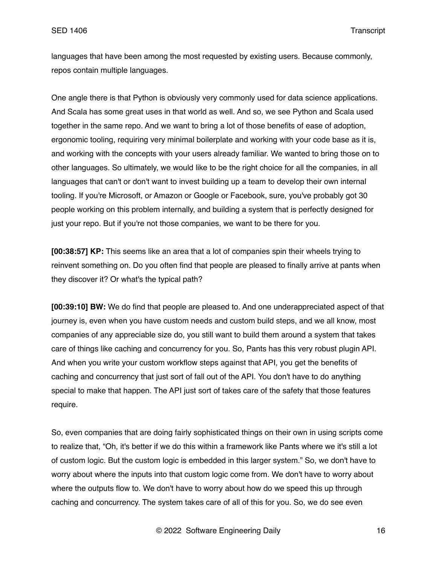languages that have been among the most requested by existing users. Because commonly, repos contain multiple languages.

One angle there is that Python is obviously very commonly used for data science applications. And Scala has some great uses in that world as well. And so, we see Python and Scala used together in the same repo. And we want to bring a lot of those benefits of ease of adoption, ergonomic tooling, requiring very minimal boilerplate and working with your code base as it is, and working with the concepts with your users already familiar. We wanted to bring those on to other languages. So ultimately, we would like to be the right choice for all the companies, in all languages that can't or don't want to invest building up a team to develop their own internal tooling. If you're Microsoft, or Amazon or Google or Facebook, sure, you've probably got 30 people working on this problem internally, and building a system that is perfectly designed for just your repo. But if you're not those companies, we want to be there for you.

**[00:38:57] KP:** This seems like an area that a lot of companies spin their wheels trying to reinvent something on. Do you often find that people are pleased to finally arrive at pants when they discover it? Or what's the typical path?

**[00:39:10] BW:** We do find that people are pleased to. And one underappreciated aspect of that journey is, even when you have custom needs and custom build steps, and we all know, most companies of any appreciable size do, you still want to build them around a system that takes care of things like caching and concurrency for you. So, Pants has this very robust plugin API. And when you write your custom workflow steps against that API, you get the benefits of caching and concurrency that just sort of fall out of the API. You don't have to do anything special to make that happen. The API just sort of takes care of the safety that those features require.

So, even companies that are doing fairly sophisticated things on their own in using scripts come to realize that, "Oh, it's better if we do this within a framework like Pants where we it's still a lot of custom logic. But the custom logic is embedded in this larger system." So, we don't have to worry about where the inputs into that custom logic come from. We don't have to worry about where the outputs flow to. We don't have to worry about how do we speed this up through caching and concurrency. The system takes care of all of this for you. So, we do see even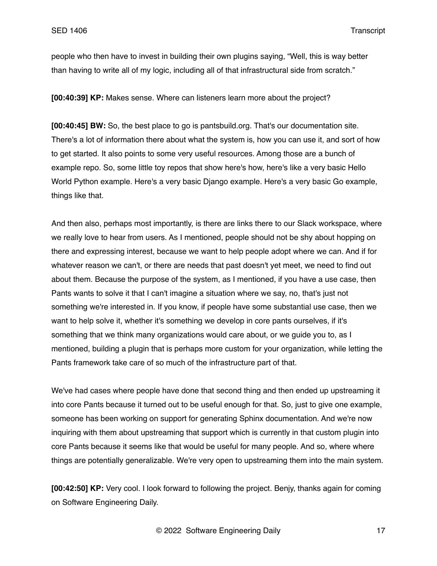people who then have to invest in building their own plugins saying, "Well, this is way better than having to write all of my logic, including all of that infrastructural side from scratch."

**[00:40:39] KP:** Makes sense. Where can listeners learn more about the project?

**[00:40:45] BW:** So, the best place to go is pantsbuild.org. That's our documentation site. There's a lot of information there about what the system is, how you can use it, and sort of how to get started. It also points to some very useful resources. Among those are a bunch of example repo. So, some little toy repos that show here's how, here's like a very basic Hello World Python example. Here's a very basic Django example. Here's a very basic Go example, things like that.

And then also, perhaps most importantly, is there are links there to our Slack workspace, where we really love to hear from users. As I mentioned, people should not be shy about hopping on there and expressing interest, because we want to help people adopt where we can. And if for whatever reason we can't, or there are needs that past doesn't yet meet, we need to find out about them. Because the purpose of the system, as I mentioned, if you have a use case, then Pants wants to solve it that I can't imagine a situation where we say, no, that's just not something we're interested in. If you know, if people have some substantial use case, then we want to help solve it, whether it's something we develop in core pants ourselves, if it's something that we think many organizations would care about, or we guide you to, as I mentioned, building a plugin that is perhaps more custom for your organization, while letting the Pants framework take care of so much of the infrastructure part of that.

We've had cases where people have done that second thing and then ended up upstreaming it into core Pants because it turned out to be useful enough for that. So, just to give one example, someone has been working on support for generating Sphinx documentation. And we're now inquiring with them about upstreaming that support which is currently in that custom plugin into core Pants because it seems like that would be useful for many people. And so, where where things are potentially generalizable. We're very open to upstreaming them into the main system.

**[00:42:50] KP:** Very cool. I look forward to following the project. Benjy, thanks again for coming on Software Engineering Daily.

© 2022 Software Engineering Daily 17